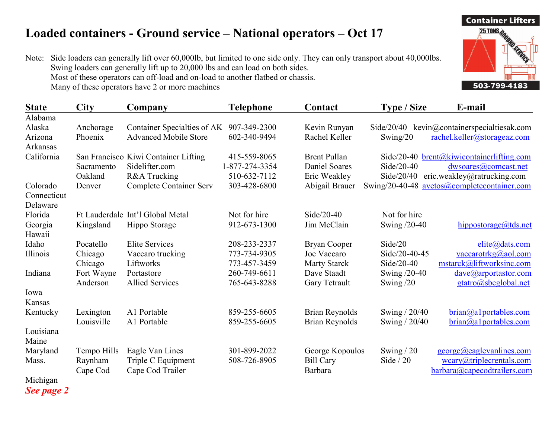## Loaded containers - Ground service – National operators – Oct 17

Note: Side loaders can generally lift over 60,000lb, but limited to one side only. They can only transport about 40,000lbs. Swing loaders can generally lift up to 20,000 lbs and can load on both sides. Most of these operators can off-load and on-load to another flatbed or chassis. Many of these operators have 2 or more machines

| <b>State</b>                  | <b>City</b> | Company                              | <b>Telephone</b> | Contact               | <b>Type / Size</b> | E-mail                                      |
|-------------------------------|-------------|--------------------------------------|------------------|-----------------------|--------------------|---------------------------------------------|
| Alabama                       |             |                                      |                  |                       |                    |                                             |
| Alaska                        | Anchorage   | Container Specialties of AK          | 907-349-2300     | Kevin Runyan          |                    | Side/20/40 kevin@containerspecialtiesak.com |
| Arizona                       | Phoenix     | <b>Advanced Mobile Store</b>         | 602-340-9494     | Rachel Keller         | Swing $/20$        | rachel.keller@storageaz.com                 |
| Arkansas                      |             |                                      |                  |                       |                    |                                             |
| California                    |             | San Francisco Kiwi Container Lifting | 415-559-8065     | <b>Brent Pullan</b>   |                    | Side/20-40 brent@kiwicontainerlifting.com   |
|                               | Sacramento  | Sidelifter.com                       | 1-877-274-3354   | Daniel Soares         | $Side/20-40$       | dwsoares@comcast.net                        |
|                               | Oakland     | R&A Trucking                         | 510-632-7112     | Eric Weakley          | Side/20/40         | eric.weakley@ratrucking.com                 |
| Colorado                      | Denver      | <b>Complete Container Serv</b>       | 303-428-6800     | Abigail Brauer        |                    | Swing/20-40-48 avetos@completecontainer.com |
| Connecticut                   |             |                                      |                  |                       |                    |                                             |
| Delaware                      |             |                                      |                  |                       |                    |                                             |
| Florida                       |             | Ft Lauderdale Int'l Global Metal     | Not for hire     | $Side/20-40$          | Not for hire       |                                             |
| Georgia                       | Kingsland   | Hippo Storage                        | 912-673-1300     | Jim McClain           | Swing /20-40       | hippostorage@tds.net                        |
| Hawaii                        |             |                                      |                  |                       |                    |                                             |
| Idaho                         | Pocatello   | <b>Elite Services</b>                | 208-233-2337     | <b>Bryan Cooper</b>   | Side/20            | elite@dats.com                              |
| Illinois                      | Chicago     | Vaccaro trucking                     | 773-734-9305     | Joe Vaccaro           | Side/20-40-45      | $vacarotrkg(a)$ aol.com                     |
|                               | Chicago     | Liftworks                            | 773-457-3459     | <b>Marty Starck</b>   | Side/20-40         | mstarck@liftworksinc.com                    |
| Indiana                       | Fort Wayne  | Portastore                           | 260-749-6611     | Dave Staadt           | Swing /20-40       | dave@arportastor.com                        |
|                               | Anderson    | <b>Allied Services</b>               | 765-643-8288     | Gary Tetrault         | Swing $/20$        | gtatro@sbcglobal.net                        |
| Iowa                          |             |                                      |                  |                       |                    |                                             |
| <b>Kansas</b>                 |             |                                      |                  |                       |                    |                                             |
| Kentucky                      | Lexington   | A1 Portable                          | 859-255-6605     | <b>Brian Reynolds</b> | Swing / 20/40      | brain@a1portables.com                       |
|                               | Louisville  | A1 Portable                          | 859-255-6605     | <b>Brian Reynolds</b> | Swing / 20/40      | brain@a1portables.com                       |
| Louisiana                     |             |                                      |                  |                       |                    |                                             |
| Maine                         |             |                                      |                  |                       |                    |                                             |
| Maryland                      | Tempo Hills | Eagle Van Lines                      | 301-899-2022     | George Kopoulos       | Swing $/20$        | george@eaglevanlines.com                    |
| Mass.                         | Raynham     | Triple C Equipment                   | 508-726-8905     | <b>Bill Cary</b>      | Side $/20$         | wcary@triplectentials.com                   |
| $\mathbf{r}$ and $\mathbf{r}$ | Cape Cod    | Cape Cod Trailer                     |                  | Barbara               |                    | barbara@capecodtrailers.com                 |

Michigan See page 2